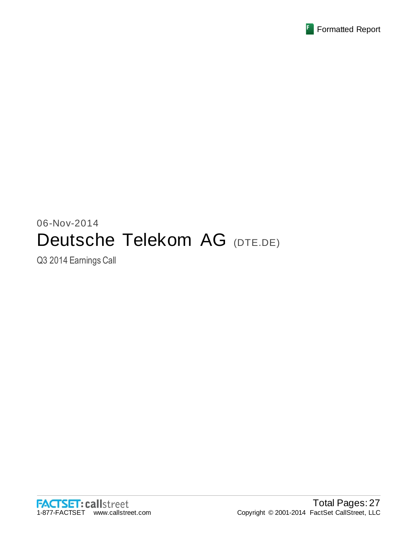

# 06-Nov-2014 Deutsche Telekom AG (DTE.DE)

Q3 2014 Earnings Call

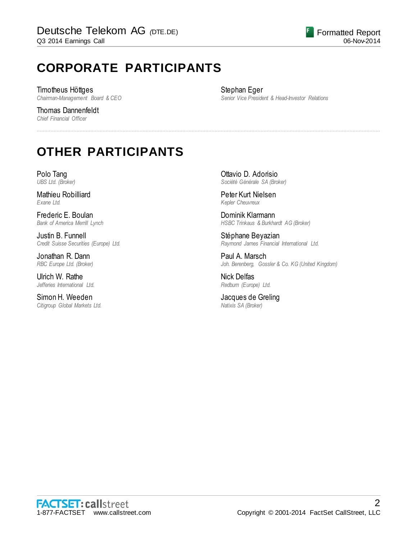# **CORPORATE PARTICIPANTS**

Timotheus Höttges *Chairman-Management Board & CEO*

Thomas Dannenfeldt *Chief Financial Officer*

Stephan Eger *Senior Vice President & Head-Investor Relations*

# **OTHER PARTICIPANTS**

Polo Tang *UBS Ltd. (Broker)*

Mathieu Robilliard *Exane Ltd.*

Frederic E. Boulan *Bank of America Merrill Lynch*

Justin B. Funnell *Credit Suisse Securities (Europe) Ltd.*

Jonathan R. Dann *RBC Europe Ltd. (Broker)*

Ulrich W. Rathe *Jefferies International Ltd.*

Simon H. Weeden *Citigroup Global Markets Ltd.* Ottavio D. Adorisio *Société Générale SA (Broker)*

Peter Kurt Nielsen *Kepler Cheuvreux*

................................................................................................................................................................................................................................

Dominik Klarmann *HSBC Trinkaus & Burkhardt AG (Broker)*

Stéphane Beyazian *Raymond James Financial International Ltd.*

Paul A. Marsch *Joh. Berenberg, Gossler & Co. KG (United Kingdom)*

Nick Delfas *Redburn (Europe) Ltd.*

Jacques de Greling *Natixis SA (Broker)*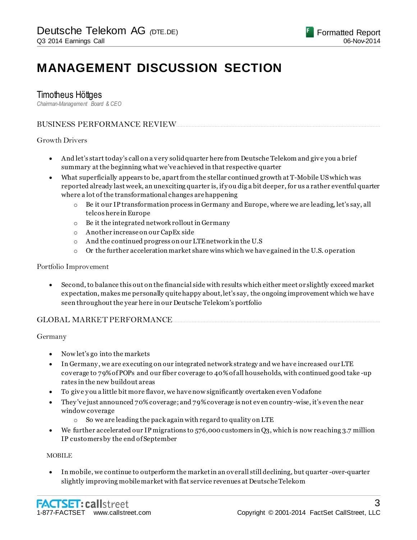# **MANAGEMENT DISCUSSION SECTION**

### Timotheus Höttges

*Chairman-Management Board & CEO*

#### BUSINESS PERFORMANCE REVIEW.....................................................................................................................................

#### Growth Drivers

- And let's start today's call on a very solid quarter here from Deutsche Telekom and give you a brief summary at the beginning what we've achieved in that respective quarter
- What superficially appears to be, apartfrom the stellar continued growth at T-Mobile US which was reported already last week, an unexciting quarter is, if y ou dig a bit deeper, for us a rather eventful quarter where a lot of the transformational changes are happening
	- $\circ$  Be it our IP transformation process in Germany and Europe, where we are leading, let's say, all telcos here in Europe
	- o Be it the integrated network rollout in Germany
	- o Another increase on our CapEx side
	- o And the continued progress on our LTE network in the U.S
	- $\circ$  Or the further acceleration market share wins which we have gained in the U.S. operation

#### Portfolio Improvement

 Second, to balance this out on the financial side with results which either meet or slightly exceed market expectation, makes me personally quite happy about, let's say, the ongoing improvement which we have seen throughout the year here in our Deutsche Telekom's portfolio

#### GLOBAL MARKET PERFORMANCE......

#### Germany

- Now let's go into the markets
- In Germany , we are executing on our integrated network strategy and we have increased our LTE coverage to 79% of POPs and our fiber coverage to 40% of all households, with continued good take -up rates in the new buildout areas
- To give y ou a little bit more flavor, we have now significantly overtaken even Vodafone
- They 've just announced 70% coverage; and 79% coverage is not even country-wise, it's even the near window coverage
	- o So we are leading the pack again with regard to quality on LTE
- We further accelerated our IP migrations to 576,000 customers in Q3, which is now reaching 3.7 million IP customers by the end of September

#### MOBILE

 In mobile, we continue to outperform the market in an overall still declining, but quarter -over-quarter slightly improving mobile market with flat service revenues at Deutsche Telekom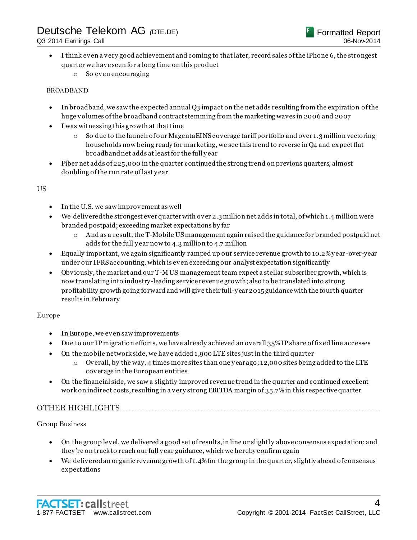- I think even a very good achievement and coming to that later, record sales of the iPhone 6, the strongest quarter we have seen for a long time on this product
	- o So even encouraging

#### BROADBAND

- In broadband, we saw the expected annual Q3 impact on the net adds resulting from the expiration of the huge volumes of the broadband contract stemming from the marketing waves in 2006 and 2007
- I was witnessing this growth at that time
	- $\circ$  So due to the launch of our Magenta EINS coverage tariff portfolio and over 1.3 million vectoring households now being ready for marketing, we see this trend to reverse in Q4 and expect flat broadband net adds at least for the full y ear
- Fiber net adds of 225,000 in the quarter continued the strong trend on previous quarters, almost doubling of the run rate of last y ear

#### US

- In the U.S. we saw improvement as well
- We delivered the strongest ever quarter with over 2.3 million net adds in total, of which 1.4 million were branded postpaid; exceeding market expectations by far
	- $\circ$  And as a result, the T-Mobile US management again raised the guidance for branded postpaid net adds for the full y ear now to 4.3 million to 4.7 million
- Equally important, we again significantly ramped up our service revenue growth to 10.2% y ear -over-year under our IFRS accounting, which is even exceeding our analyst expectation significantly
- Obviously, the market and our T-M US management team expect a stellar subscriber growth, which is now translating into industry-leading service revenue growth; also to be translated into strong profitability growth going forward and will give their full-y ear 2015 guidance with the fourth quarter results in February

#### Europe

- In Europe, we even saw improvements
- Due to our IP migration efforts, we have already achieved an overall 35% IP share of fixed line accesses
- On the mobile network side, we have added 1,900 LTE sites just in the third quarter
	- $\circ$  Overall, by the way, 4 times more sites than one y ear ago; 12,000 sites being added to the LTE coverage in the European entities
- On the financial side, we saw a slightly improved revenue trend in the quarter and continued excellent work on indirect costs, resulting in a very strong EBITDA margin of 35.7% in this respective quarter

#### OTHER HIGHLIGHTS.........

#### Group Business

- On the group level, we delivered a good set of results, in line or slightly above consensus expectation; and they 're on track to reach our full y ear guidance, which we hereby confirm again
- We delivered an organic revenue growth of 1.4% for the group in the quarter, slightly ahead of consensus expectations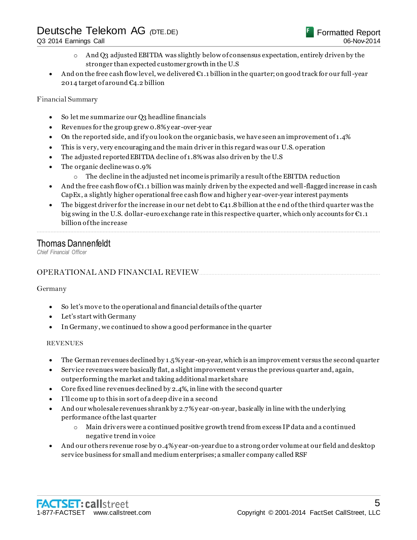- o And Q3 adjusted EBITDA was slightly below of consensus expectation, entirely driven by the stronger than expected customer growth in the U.S
- And on the free cash flow level, we delivered  $\epsilon_1$ . 1 billion in the quarter; on good track for our full-year 2014 target of around €4.2 billion

#### Financial Summary

- So let me summarize our Q3 headline financials
- Revenues for the group grew 0.8% y ear -over-year
- On the reported side, and if y ou look on the organic basis, we have seen an improvement of 1.4%
- This is very, very encouraging and the main driver in this regard was our U.S. operation
- The adjusted reported EBITDA decline of 1.8% was also driven by the U.S
- The organic decline was 0.9%
	- $\circ$  The decline in the adjusted net income is primarily a result of the EBITDA reduction
- And the free cash flow of  $\mathfrak{C}_1$ .1 billion was mainly driven by the expected and well-flagged increase in cash CapEx, a slightly higher operational free cash flow and higher y ear-over-year interest payments
- The biggest driver for the increase in our net debt to  $\epsilon_{41}$ . 8 billion at the end of the third quarter was the big swing in the U.S. dollar-euro exchange rate in this respective quarter, which only accounts for €1.1 billion of the increase

................................................................................................................................................................................................................................

### Thomas Dannenfeldt

*Chief Financial Officer*

### OPERATIONAL AND FINANCIAL REVIEW.

#### Germany

- So let's move to the operational and financial details of the quarter
- Let's start with Germany
- In Germany , we continued to show a good performance in the quarter

#### REVENUES

- The German revenues declined by 1.5% y ear -on-year, which is an improvement versus the second quarter
- Service revenues were basically flat, a slight improvement versus the previous quarter and, again, outperforming the market and taking additional market share
- Core fixed line revenues declined by 2.4%, in line with the second quarter
- I'll come up to this in sort of a deep dive in a second
- And our wholesale revenues shrank by 2.7% y ear -on-year, basically in line with the underlying performance of the last quarter
	- o Main drivers were a continued positive growth trend from excess IP data and a continued negative trend in voice
- And our others revenue rose by 0.4% y ear -on-year due to a strong order volume at our field and desktop service business for small and medium enterprises; a smaller company called RSF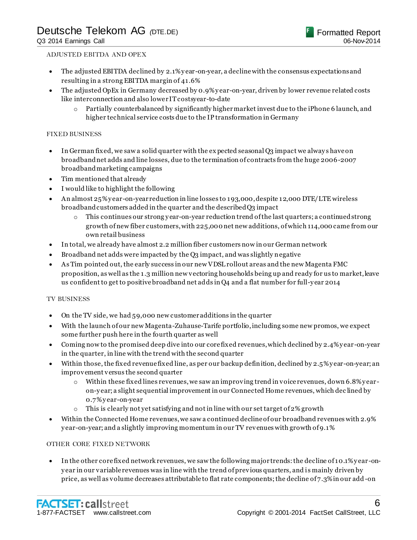#### ADJUSTED EBITDA AND OPEX

- The adjusted EBITDA declined by 2.1% y ear-on-year, a decline with the consensus expectations and resulting in a strong EBITDA margin of 41.6%
- The adjusted OpEx in Germany decreased by 0.9% y ear-on-year, driven by lower revenue related costs like interconnection and also lower IT costsyear-to-date
	- o Partially counterbalanced by significantly higher market invest due to the iPhone 6 launch, and higher technical service costs due to the IP transformation in Germany

#### FIXED BUSINESS

- In German fixed, we saw a solid quarter with the ex pected seasonal Q3 impact we alway s have on broadband net adds and line losses, due to the termination of contracts from the huge 2006-2007 broadband marketing campaigns
- Tim mentioned that already
- I would like to highlight the following
- An almost 25% y ear-on-year reduction in line losses to 193,000, despite 12,000 DTE/LTE wireless broadband customers added in the quarter and the described Q3 impact
	- o This continues our strong y ear-on-year reduction trend of the last quarters; a continued strong growth of new fiber customers, with 225,000 net new additions, of which 114,000 came from our own retail business
- In total, we already have almost 2.2 million fiber customers now in our German network
- Broadband net adds were impacted by the Q3 impact, and was slightly negative
- As Tim pointed out, the early success in our new VDSL rollout areas and the new Magenta FMC proposition, as well as the 1.3 million new vectoring households being up and ready for us to market, leave us confident to get to positive broadband net adds in Q4 and a flat number for full-y ear 2014

#### TV BUSINESS

- On the TV side, we had 59,000 new customer additions in the quarter
- With the launch of our new Magenta-Zuhause-Tarife portfolio, including some new promos, we expect some further push here in the fourth quarter as well
- Coming now to the promised deep dive into our core fixed revenues, which declined by 2.4% y ear -on-year in the quarter, in line with the trend with the second quarter
- Within those, the fixed revenue fixed line, as per our backup definition, declined by 2.5% y ear-on-year; an improvement versus the second quarter
	- o Within these fixed lines revenues, we saw an improving trend in voice revenues, down 6.8% y earon-y ear; a slight sequential improvement in our Connected Home revenues, which dec lined by 0.7% y ear-on-year
	- o This is clearly not yet satisfying and not in line with our set target of 2% growth
- Within the Connected Home revenues, we saw a continued decline of our broadband revenues with 2.9% y ear-on-year; and a slightly improving momentum in our TV revenues with growth of 9.1%

#### OTHER CORE FIXED NETWORK

 In the other core fixed network revenues, we saw the following major trends: the decline of 10.1% y ear -ony ear in our variable revenues was in line with the trend of previous quarters, and i s mainly driven by price, as well as volume decreases attributable to flat rate components; the decline of 7.3% in our add -on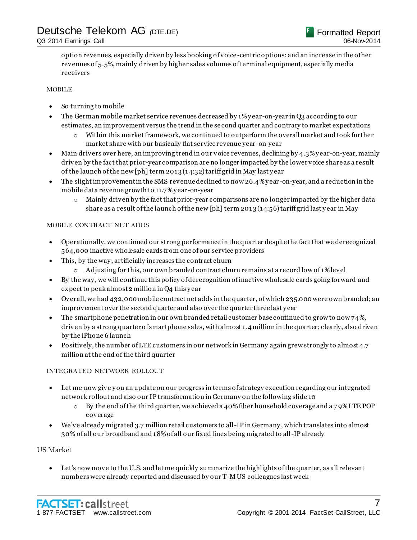option revenues, especially driven by less booking of voice -centric options; and an increase in the other revenues of 5.5%, mainly driven by higher sales volumes of terminal equipment, especially media receivers

#### MOBILE

- So turning to mobile
- The German mobile market service revenues decreased by 1% y ear-on-year in Q3 according to our estimates, an improvement versus the trend in the second quarter and contrary to market expectations
	- $\circ$  Within this market framework, we continued to outperform the overall market and took further market share with our basically flat service revenue year -on-year
- Main drivers over here, an improving trend in our voice revenues, declining by 4.3% y ear-on-year, mainly driven by the fact that prior-year comparison are no longer impacted by the lower voice share as a result of the launch of the new [ph] term 2013 (14:32) tariff grid in May last y ear
- The slight improvement in the SMS revenue declined to now 26.4% year-on-year, and a reduction in the mobile data revenue growth to 11.7% y ear -on-year
	- $\circ$  Mainly driven by the fact that prior-year comparisons are no longer impacted by the higher data share as a result of the launch of the new [ph] term 2013 (14:56) tariff grid last y ear in May

#### MOBILE CONTRACT NET ADDS

- Operationally, we continued our strong performance in the quarter despite the fact that we derecognized 564,000 inactive wholesale cards from one of our service providers
- This, by the way , artificially increases the contract churn
	- o Adjusting for this, our own branded contract churn remains at a record low of 1% level
- By the way , we will continue this policy of derecognition of inactive wholesale cards going forward and expect to peak almost 2 million in Q4 this y ear
- Overall, we had 432,000 mobile contract net adds in the quarter, of which 235,000 were own branded; an improvement over the second quarter and also over the quarter three last y ear
- The smartphone penetration in our own branded retail customer base continued to grow to now 74%, driven by a strong quarter of smartphone sales, with almost 1.4 million in the quarter; clearly, also driven by the iPhone 6 launch
- Positively, the number of LTE customers in our network in Germany again grew strongly to almost 4.7 million at the end of the third quarter

#### INTEGRATED NETWORK ROLLOUT

- Let me now give y ou an update on our progress in terms of strategy execution regarding our integrated network rollout and also our IP transformation in Germany on the following slide 10
	- $\circ$  By the end of the third quarter, we achieved a 40% fiber household coverage and a 79% LTE POP coverage
- We've already migrated 3.7 million retail customers to all-IP in Germany, which translates into almost 30% of all our broadband and 18% of all our fixed lines being migrated to all-IP already

#### US Market

 Let's now move to the U.S. and let me quickly summarize the highlights of the quarter, as all relevant numbers were already reported and discussed by our T-M US colleagues last week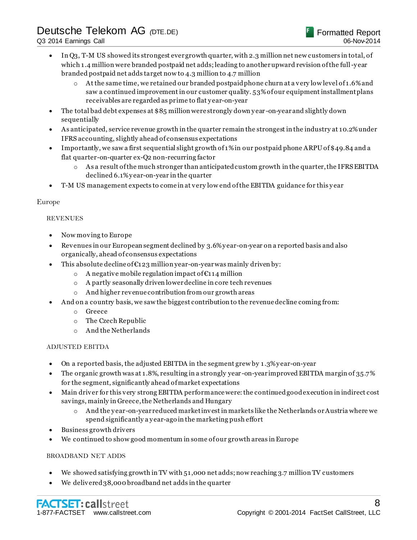- In Q3, T-M US showed its strongest ever growth quarter, with 2.3 million net new customers in total, of which 1.4 million were branded postpaid net adds; leading to another upward revision of the full-y ear branded postpaid net adds target now to 4.3 million to 4.7 million
	- $\circ$  At the same time, we retained our branded postpaid phone churn at a very low level of 1.6% and saw a continued improvement in our customer quality. 53% of our equipment installment plans receivables are regarded as prime to flat y ear-on-year
- The total bad debt expenses at \$85 million were strongly down year-on-year and slightly down sequentially
- As anticipated, service revenue growth in the quarter remain the strongest in the industry at 10.2% under IFRS accounting, slightly ahead of consensus expectations
- Importantly, we saw a first sequential slight growth of 1% in our postpaid phone ARPU of \$49.84 and a flat quarter-on-quarter ex-Q2 non-recurring factor
	- $\circ$  As a result of the much stronger than anticipated custom growth in the quarter, the IFRS EBITDA declined 6.1% y ear-on-year in the quarter
- T-M US management expects to come in at very low end of the EBITDA guidance for this y ear

#### Europe

#### REVENUES

- Now moving to Europe
- Revenues in our European segment declined by 3.6% y ear-on-year on a reported basis and also organically, ahead of consensus expectations
- $\bullet$  This absolute decline of  $\epsilon$ 123 million year-on-year was mainly driven by:
	- o A negative mobile regulation impact of €114 million
	- o A partly seasonally driven lower decline in core tech revenues
	- o And higher revenue contribution from our growth areas
- And on a country basis, we saw the biggest contribution to the revenue decline coming from:
	- o Greece
	- o The Czech Republic
	- o And the Netherlands

#### ADJUSTED EBITDA

- On a reported basis, the adjusted EBITDA in the segment grew by 1.3% y ear-on-year
- The organic growth was at 1.8%, resulting in a strongly year -on-year improved EBITDA margin of 35.7% for the segment, significantly ahead of market expectations
- Main driver for this very strong EBITDA performance were: the continued good execution in indirect cost savings, mainly in Greece, the Netherlands and Hungary
	- o And the y ear-on-year reduced market invest in markets like the Netherlands or Austria where we spend significantly a y ear-ago in the marketing push effort
- Business growth drivers
- We continued to show good momentum in some of our growth areas in Europe

#### BROADBAND NET ADDS

- We showed satisfying growth in TV with 51,000 net adds; now reaching 3.7 million TV customers
- We delivered 38,000 broadband net adds in the quarter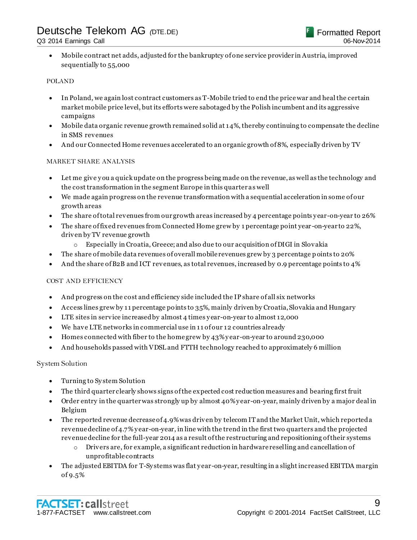Mobile contract net adds, adjusted for the bankruptcy of one service provider in Austria, improved sequentially to 55,000

#### POLAND

- In Poland, we again lost contract customers as T-Mobile tried to end the price war and heal the certain market mobile price level, but its efforts were sabotaged by the Polish incumbent and its aggressive campaigns
- Mobile data organic revenue growth remained solid at 14%, thereby continuing to compensate the decline in SMS revenues
- And our Connected Home revenues accelerated to an organic growth of 8%, especially driven by TV

#### MARKET SHARE ANALYSIS

- Let me give you a quick update on the progress being made on the revenue, as well as the technology and the cost transformation in the segment Europe in this quarter as well
- We made again progress on the revenue transformation with a sequential acceleration in some of our growth areas
- The share of total revenues from our growth areas increased by 4 percentage points y ear-on-year to 26%
- The share of fixed revenues from Connected Home grew by 1 percentage point year -on-year to 22%, driven by TV revenue growth
	- o Especially in Croatia, Greece; and also due to our acquisition of DIGI in Slovakia
- The share of mobile data revenues of overall mobile revenues grew by 3 percentage p oints to 20%
- And the share of B2B and ICT revenues, as total revenues, increased by 0.9 percentage points to 4%

#### COST AND EFFICIENCY

- And progress on the cost and efficiency side included the IP share of all six networks
- Access lines grew by 11 percentage points to 35%, mainly driven by Croatia, Slovakia and Hungary
- LTE sites in service increased by almost 4 times y ear-on-year to almost 12,000
- We have LTE networks in commercial use in 11 of our 12 countries already
- Homes connected with fiber to the home grew by 43% y ear-on-year to around 230,000
- And households passed with VDSL and FTTH technology reached to approximately 6 million

System Solution

- Turning to System Solution
- The third quarter clearly shows signs of the expected cost reduction measures and bearing first fruit
- Order entry in the quarter was strongly up by almost 40% y ear-on-year, mainly driven by a major deal in Belgium
- The reported revenue decrease of 4.9% was driven by telecom IT and the Market Unit, which reported a revenue decline of 4.7% y ear-on-year, in line with the trend in the first two quarters and the projected revenue decline for the full-year 2014 as a result of the restructuring and repositioning of their systems
	- $\circ$  Drivers are, for example, a significant reduction in hardware reselling and cancellation of unprofitable contracts
- The adjusted EBITDA for T-Sy stems was flat y ear-on-year, resulting in a slight increased EBITDA margin of 9.5%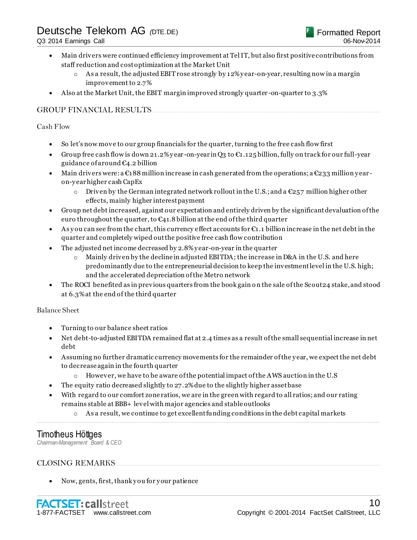- Main drivers were continued efficiency improvement at Tel IT, but also first positive contributions from staff reduction and cost optimization at the Market Unit
	- $\circ$  As a result, the adjusted EBIT rose strongly by 12% y ear-on-year, resulting now in a margin improvement to 2.7%
- Also at the Market Unit, the EBIT margin improved strongly quarter -on-quarter to 3.3%

#### GROUP FINANCIAL RESULTS.....................................................................................................................................................

#### Cash Flow

- So let's now move to our group financials for the quarter, turning to the free cash flow first
- Group free cash flow is down 21.2% year-on-year in O3 to  $\mathfrak{C}_1$ .125 billion, fully on track for our full-year guidance of around €4.2 billion
- Main drivers were: a  $\epsilon_1$ 88 million increase in cash generated from the operations; a  $\epsilon_{233}$  million yearon-y ear higher cash CapEx
	- o Driven by the German integrated network rollout in the U.S.; and a  $\mathfrak{C}257$  million higher other effects, mainly higher interest payment
- Group net debt increased, against our expectation and entirely driven by the significant devaluation of the euro throughout the quarter, to  $\epsilon_{41.8}$  billion at the end of the third quarter
- As you can see from the chart, this currency effect accounts for  $\mathfrak{C}_1$ , 1 billion increase in the net debt in the quarter and completely wiped out the positive free cash flow contribution
- The adjusted net income decreased by 2.8% y ear-on-year in the quarter
	- $\circ$  Mainly driven by the decline in adjusted EBITDA; the increase in D&A in the U.S. and here predominantly due to the entrepreneurial decision to keep the investment level in the U.S. high; and the accelerated depreciation of the Metro network
- The ROCI benefited as in previous quarters from the book gain o n the sale of the Scout24 stake, and stood at 6.3% at the end of the third quarter

#### Balance Sheet

- Turning to our balance sheet ratios
- Net debt-to-adjusted EBITDA remained flat at 2.4 times as a result of the small sequential increase in net debt
- Assuming no further dramatic currency movements for the remainder of the y ear, we expect the net debt to decrease again in the fourth quarter
	- o However, we have to be aware of the potential impact of the AWS auction in the U.S
- The equity ratio decreased slightly to 27.2% due to the slightly higher asset base
- With regard to our comfort zone ratios, we are in the green with regard to all ratios; and our rating remains stable at BBB+ level with major agencies and stable outlooks
- $\circ$  As a result, we continue to get excellent funding conditions in the debt capital markets ................................................................................................................................................................................................................................

### Timotheus Höttges

*Chairman-Management Board & CEO*

#### CLOSING REMARKS

• Now, gents, first, thank you for your patience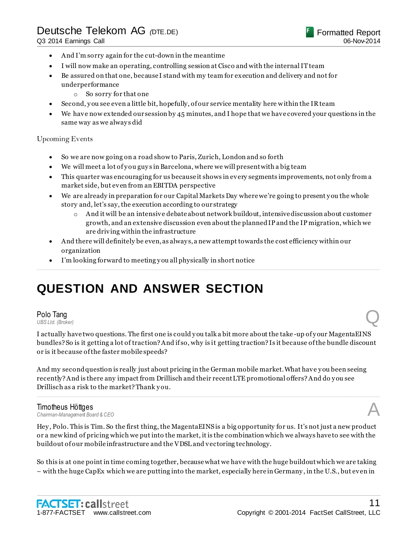- And I'm sorry again for the cut-down in the meantime
- I will now make an operating, controlling session at Cisco and with the internal IT team
- Be assured on that one, because I stand with my team for execution and delivery and not for underperformance
	- o So sorry for that one
- Second, y ou see even a little bit, hopefully, of our service mentality here within the IR team
- We have now extended our session by 45 minutes, and I hope that we have covered your questions in the same way as we always did

#### Upcoming Events

- So we are now going on a road show to Paris, Zurich, London and so forth
- We will meet a lot of you guys in Barcelona, where we will present with a big team
- This quarter was encouraging for us because it shows in every segments improvements, not only from a market side, but even from an EBITDA perspective
- We are already in preparation for our Capital Markets Day where we're going to present y ou the whole story and, let's say, the execution according to our strategy
	- o And it will be an intensive debate about network buildout, intensive discussion about customer growth, and an extensive discussion even about the planned IP and the IP migration, which we are driving within the infrastructure
- And there will definitely be even, as alway s, a new attempt towards the cost efficiency within our organization

................................................................................................................................................................................................................................

I'm looking forward to meeting y ou all physically in short notice

# **QUESTION AND ANSWER SECTION**

### **Polo Tang**<br>*UBS Ltd. (Broker)* **Polo Tang**<br>UBS Ltd. (Broker)

I actually have two questions. The first one is could y ou talk a bit more about the take -up of y our MagentaEINS bundles? So is it getting a lot of traction? And if so, why is it getting traction? Is it because of the bundle discount or is it because of the faster mobile speeds?

And my second question is really just about pricing in the German mobile market. What have y ou been seeing recently? And is there any impact from Drillisch and their recent LTE promotional offers? And do y ou see Drillisch as a risk to the market? Thank y ou.

### **Timotheus Höttges**<br>Chairman-Management Board & CEO *Chairman-Management Board & CEO* A

Hey , Polo. This is Tim. So the first thing, the MagentaEINS is a big opportunity for us. It's not just a new product or a new kind of pricing which we put into the market, it is the combination which we always have to see with the buildout of our mobile infrastructure and the VDSL and vectoring technology.

................................................................................................................................................................................................................................

So this is at one point in time coming together, because what we have with the huge buildout which we are taking – with the huge CapEx which we are putting into the market, especially here in Germany , in the U.S., but even in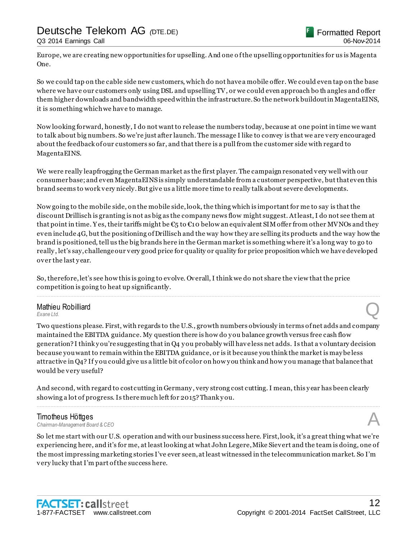Europe, we are creating new opportunities for upselling. And one o f the upselling opportunities for us is Magenta One.

So we could tap on the cable side new customers, which do not have a mobile offer. We could even tap on the base where we have our customers only using DSL and upselling TV, or we could even approach bo th angles and offer them higher downloads and bandwidth speed within the infrastructure. So the network buildout in MagentaEINS, it is something which we have to manage.

Now looking forward, honestly, I do not want to release the numbers today, because at one point in time we want to talk about big numbers. So we're just after launch. The message I like to convey is that we are very encouraged about the feedback of our customers so far, and that there is a pull from the customer side with regard to MagentaEINS.

We were really leapfrogging the German market as the first player. The campaign resonated very well with our consumer base; and even MagentaEINS is simply understandable from a customer perspective, but that even this brand seems to work very nicely. But give us a little more time to really talk about severe developments.

Now going to the mobile side, on the mobile side, look, the thing which is important for me to say is that the discount Drillisch is granting is not as big as the company news flow might suggest. At least, I do not see them at that point in time. Yes, their tariffs might be  $\epsilon_5$  to  $\epsilon_1$  obelow an equivalent SIM offer from other MVNOs and they even include 4G, but the positioning of Drillisch and the way how they are selling its products and the way how the brand is positioned, tell us the big brands here in the German market is something where it's a long way to go to really , let's say, challenge our very good price for quality or quality for price proposition which we have developed over the last year.

................................................................................................................................................................................................................................

So, therefore, let's see how this is going to evolve. Overall, I think we do not share the view that the price competition is going to heat up significantly.

### Mathieu Robilliard **Mathieu Robilliard**<br> *Exane Ltd.* Q

Two questions please. First, with regards to the U.S., growth numbers obviously in terms of net adds and company maintained the EBITDA guidance. My question there is how do y ou balance growth versus free cash flow generation? I think y ou're suggesting that in Q4 y ou probably will have less net adds. Is that a voluntary decision because you want to remain within the EBITDA guidance, or is it because you think the market is may be less attractive in Q4? If y ou could give us a little bit of color on how y ou think and how y ou manage that balance that would be very useful?

And second, with regard to cost cutting in Germany , very strong cost cutting. I mean, this y ear has been clearly showing a lot of progress. Is there much left for 2015? Thank y ou.

................................................................................................................................................................................................................................

#### Timotheus Höttges

*Chairman-Management Board & CEO* A

So let me start with our U.S. operation and with our business success here. First, look, it's a great thing what we're experiencing here, and it's for me, at least looking at what John Legere, Mike Sievert and the team is doing, one of the most impressing marketing stories I've ever seen, at least witnessed in the telecommunication market. So I'm very lucky that I'm part of the success here.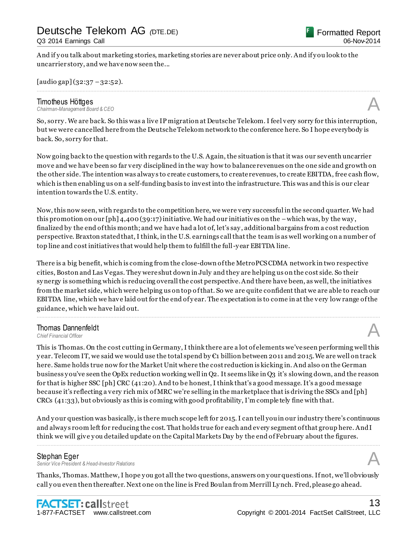And if y ou talk about marketing stories, marketing stories are never about price only. And if y ou look to the uncarrier story, and we have now seen the...

 $[audio gap](32:37-32:52).$ 

# *Chairman-Management Board & CEO* A

**Timotheus Höttges**<br>Chairman-Management Board & CEO

So, sorry . We are back. So this was a live IP migration at Deutsche Telekom. I feel very sorry for this interruption, but we were cancelled here from the Deutsche Telekom network to the conference here. So I hope everybody is back. So, sorry for that.

................................................................................................................................................................................................................................

Now going back to the question with regards to the U.S. Again, the situation is that it was our seventh uncarrier move and we have been so far very disciplined in the way how to balance revenues on the one side and growth on the other side. The intention was alway s to create customers, to create revenues, to create EBITDA, free cash flow, which is then enabling us on a self-funding basis to invest into the infrastructure. This was and this is our clear intention towards the U.S. entity.

Now, this now seen, with regards to the competition here, we were very successful in the second quarter. We had this promotion on our  $[\text{ph}]$  4,400 (39:17) initiative. We had our initiatives on the –which was, by the way, finalized by the end of this month; and we have had a lot of, let's say , additional bargains from a cost reduction perspective. Braxton stated that, I think, in the U.S. earnings call that the team is as well working on a number of top line and cost initiatives that would help them to fulfill the full-y ear EBITDA line.

There is a big benefit, which is coming from the close-down of the MetroPCS CDMA network in two respective cities, Boston and Las Vegas. They were shut down in July and they are helping us on the cost side. So their sy nergy is something which is reducing overall the cost perspective. And there have been, as well, the initiatives from the market side, which were helping us on top of that. So we are quite confident that we are able to reach our EBITDA line, which we have laid out for the end of year. The expectation is to come in at the very low range of the guidance, which we have laid out.

................................................................................................................................................................................................................................

### Thomas Dannenfeldt **Thomas Dannenfeldt**<br>
Chief Financial Officer<br> **A**

This is Thomas. On the cost cutting in Germany, I think there are a lot of elements we've seen performing well this year. Telecom IT, we said we would use the total spend by  $\mathfrak{C}_1$  billion between 2011 and 2015. We are well on track here. Same holds true now for the Market Unit where the cost reduction is kicking in. And also on the German business y ou've seen the OpEx reduction working well in Q2. It seems like in Q3 it's slowing down, and the reason for that is higher SSC [ph] CRC (41:20). And to be honest, I think that's a good message. It's a good message because it's reflecting a very rich mix of MRC we're selling in the marketplace that is driving the SSCs and [ph] CRCs (41:33), but obviously as this is coming with good profitability, I'm comple tely fine with that.

And y our question was basically, is there much scope left for 2015. I can tell you in our industry there's continuous and alway s room left for reducing the cost. That holds true for each and every segment of that group here. And I think we will give y ou detailed update on the Capital Markets Day by the end of February about the figures.

................................................................................................................................................................................................................................

#### Stephan Eger

*Senior Vice President & Head-Investor Relations* A

Thanks, Thomas. Matthew, I hope y ou got all the two questions, answers on y our questions. If not, we'll obviously call y ou even then thereafter. Next one on the line is Fred Boulan from Merrill Ly nch. Fred, please go ahead.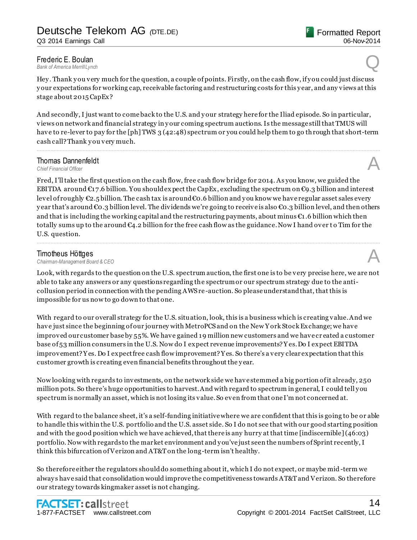Hey . Thank y ou very much for the question, a couple of points. Firstly, on the cash flow, if y ou could just discuss y our expectations for working cap, receivable factoring and restructuring costs for this y ear, and any views at this stage about 2015 CapEx?

And secondly, I just want to come back to the U.S. and y our strategy here for the Iliad episode. So in particular, views on network and financial strategy in y our coming spectrum auctions. Is the message still that TMUS will have to re-lever to pay for the [ph] TWS 3 (42:48) spectrum or you could help them to go through that short-term cash call? Thank y ou very much.

................................................................................................................................................................................................................................

### **Thomas Dannenfeldt**<br>Chief Financial Officer **Thomas Dannenfeldt**<br>
Chief Financial Officer<br> **A**

Fred, I'll take the first question on the cash flow, free cash flow bridge for 2014. As you know, we guided the EBITDA around  $\epsilon_{17.6}$  billion. You should expect the CapEx, excluding the spectrum on  $\epsilon_{9.3}$  billion and interest level of roughly €2.5 billion. The cash tax is around €0.6 billion and y ou know we have regular asset sales every year that's around €0.3 billion level. The dividends we're going to receive is also €0.3 billion level, and then others and that is including the working capital and the restructuring payments, about minus  $\epsilon_1$ , 6 billion which then totally sums up to the around  $C_4$ . 2 billion for the free cash flow as the guidance. Now I hand over to Tim for the U.S. question.

................................................................................................................................................................................................................................

**Timotheus Höttges**<br>Chairman-Management Board & CEO *Chairman-Management Board & CEO* A

Look, with regards to the question on the U.S. spectrum auction, the first one is to be very precise here, we are not able to take any answers or any questions regarding the spectrum or our spectrum strategy due to the anticollusion period in connection with the pending AWS re -auction. So please understand that, that this is impossible for us now to go down to that one.

With regard to our overall strategy for the U.S. situation, look, this is a business which is creating value. And we have just since the beginning of our journey with MetroPCS and on the New Y ork Stock Exchange; we have improved our customer base by 55%. We have gained 19 million new customers and we have cr eated a customer base of 53 million consumers in the U.S. Now do I expect revenue improvements? Y es. Do I expect EBITDA improvement? Y es. Do I expect free cash flow improvement? Y es. So there's a very clear expectation that this customer growth is creating even financial benefits throughout the y ear.

Now looking with regards to investments, on the network side we have stemmed a big portion of it already, 250 million pots. So there's huge opportunities to harvest. And with regard to spectrum in general, I could tell y ou spectrum is normally an asset, which is not losing its value. So even from that one I'm not concerned at.

With regard to the balance sheet, it's a self-funding initiative where we are confident that this is going to be or able to handle this within the U.S. portfolio and the U.S. asset side. So I do not see that with our good starting position and with the good position which we have achieved, that there is any hurry at that time [indiscernible] (46:03) portfolio. Now with regards to the market environment and y ou've just seen the numbers of Sprint recently, I think this bifurcation of Verizon and AT&T on the long-term isn't healthy.

So therefore either the regulators should do something about it, which I do not expect, or maybe mid -term we alway s have said that consolidation would improve the competitiveness towards AT&T and Verizon. So therefore our strategy towards kingmaker asset is not changing.

Formatted Report

06-Nov-2014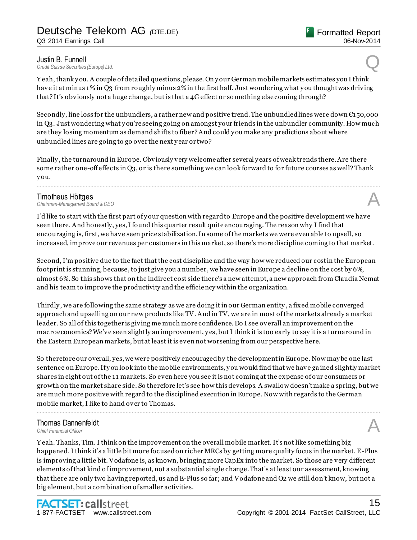**Justin B. Funnell**<br>Credit Suisse Securities (Europe) Ltd. *Credit Suisse Securities (Europe) Ltd.* Q

Y eah, thank y ou. A couple of detailed questions, please. On y our German mobile markets estimates you I think have it at minus 1% in Q3 from roughly minus 2% in the first half. Just wondering what y ou thought was driving that? It's obviously not a huge change, but is that a 4G effect or so mething else coming through?

Secondly, line loss for the unbundlers, a rather new and positive trend. The unbundled lines were down  $\epsilon_{150,000}$ in Q3. Just wondering what y ou're seeing going on amongst your friends in the unbundler community. How much are they losing momentum as demand shifts to fiber? And could y ou make any predictions about where unbundled lines are going to go over the next y ear or two?

Finally , the turnaround in Europe. Obviously very welcome after several y ears of weak trends there. Are there some rather one-off effects in Q3, or is there something we can look forward to for future courses as well? Thank y ou.

................................................................................................................................................................................................................................

**Timotheus Höttges**<br>Chairman-Management Board & CEO *Chairman-Management Board & CEO* A

I'd like to start with the first part of y our question with regard to Europe and the positive development we have seen there. And honestly, yes, I found this quarter result quite encouraging. The reason why I find that encouraging is, first, we have seen price stabilization. In some of the markets we were even able to upsell, so increased, improve our revenues per customers in this market, so there's more discipline coming to that market.

Second, I'm positive due to the fact that the cost discipline and the way how we reduced our cost in the European footprint is stunning, because, to just give you a number, we have seen in Europe a decline on the cost by 6%, almost 6%. So this shows that on the indirect cost side there's a new attempt, a new approach from Claudia Nemat and his team to improve the productivity and the efficiency within the organization.

Thirdly , we are following the same strategy as we are doing it in our German entity , a fixed mobile converged approach and upselling on our new products like TV. And in TV, we are in most of the markets already a market leader. So all of this together is giving me much more confidence. Do I see overall an improvement on the macroeconomics? We've seen slightly an improvement, y es, but I think it is too early to say it is a turnaround in the Eastern European markets, but at least it is even not worsening from our perspective here.

So therefore our overall, yes, we were positively encouraged by the development in Europe. Now may be one last sentence on Europe. If y ou look into the mobile environments, y ou would find that we have ga ined slightly market shares in eight out of the 11 markets. So even here you see it is not coming at the expense of our consumers or growth on the market share side. So therefore let's see how this develops. A swallow doesn't make a spring, but we are much more positive with regard to the disciplined execution in Europe. Now with regards to the German mobile market, I like to hand over to Thomas.

................................................................................................................................................................................................................................

### **Thomas Dannenfeldt**<br>Chief Einancial Officer **Thomas Dannenfeldt**<br>
Chief Financial Officer<br> **A**

Y eah. Thanks, Tim. I think on the improvement on the overall mobile market. It's not like something big happened. I think it's a little bit more focused on richer MRCs by getting more quality focus in the market. E-Plus is improving a little bit. Vodafone is, as known, bringing more CapEx into the market. So those are very different elements of that kind of improvement, not a substantial single change. That's at least our assessment, knowing that there are only two having reported, us and E-Plus so far; and Vodafone and O2 we still don't know, but not a big element, but a combination of smaller activities.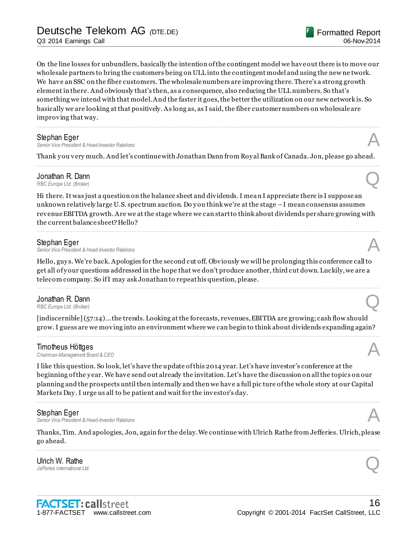On the line losses for unbundlers, basically the intention of the contingent model we have out there is to move our wholesale partners to bring the customers being on ULL into the contingent model and using the new ne twork. We have an SSC on the fiber customers. The wholesale numbers are improving there. There's a strong growth element in there. And obviously that's then, as a consequence, also reducing the ULL numbers. So that's something we intend with that model. And the faster it goes, the better the utilization on our new network is. So basically we are looking at that positively. As long as, as I said, the fiber customer numbers on wholesale are improving that way.

................................................................................................................................................................................................................................

**Stephan Eger**<br>Senior Vice President & Head-Investor Relations *Senior Vice President & Head-Investor Relations* A

Thank y ou very much. And let's continue with Jonathan Dann from Roy al Bank of Canada. Jon, please go ahead. ................................................................................................................................................................................................................................

**Jonathan R. Dann**<br>RBC Europe Ltd. (Broker) *RBC Europe Ltd. (Broker)* **Q** 

Hi there. It was just a question on the balance sheet and dividends. I mean I appreciate there is I suppose an unknown relatively large U.S. spectrum auction. Do y ou think we're at the stage –I mean consensus assumes revenue EBITDA growth. Are we at the stage where we can start to think about dividends per share growing with the current balance sheet? Hello?

................................................................................................................................................................................................................................

#### Stephan Eger

*Senior Vice President & Head-Investor Relations* A

Hello, guy s. We're back. Apologies for the second cut off. Obviously we will be prolonging this conference call to get all of y our questions addressed in the hope that we don't produce another, third cut down. Luckily, we are a telecom company. So if I may ask Jonathan to repeat his question, please.

................................................................................................................................................................................................................................

### Jonathan R. Dann<br>RBC Europe Ltd. (Broker) *RBC Europe Ltd. (Broker)* **Q**

[indiscernible] (57:14) …the trends. Looking at the forecasts, revenues, EBITDA are growing; cash flow should grow. I guess are we moving into an environment where we can begin to think about dividends expanding again? ................................................................................................................................................................................................................................

#### Timotheus Höttges

*Chairman-Management Board & CEO* A

I like this question. So look, let's have the update of this 2014 year. Let's have investor's conference at the beginning of the y ear. We have send out already the invitation. Let's have the discussion on all the topics on our planning and the prospects until then internally and then we have a full pic ture of the whole story at our Capital Markets Day . I urge us all to be patient and wait for the investor's day.

................................................................................................................................................................................................................................

#### Stephan Eger

**Senior Vice President & Head-Investor Relations** 

Thanks, Tim. And apologies, Jon, again for the delay. We continue with Ulrich Rathe from Jefferies. Ulrich, please go ahead. ................................................................................................................................................................................................................................

**Ulrich W. Rathe**<br>Jefferies International Ltd. *Jefferies International Ltd.* Q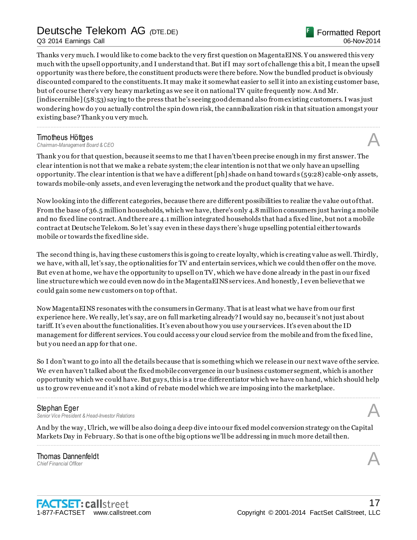Q3 2014 Earnings Call

Thanks very much. I would like to come back to the very first question on MagentaEINS. Y ou answered this very much with the upsell opportunity, and I understand that. But if I may sort of challenge this a bit, I mean the upsell opportunity was there before, the constituent products were there before. Now the bundled product is obviously discounted compared to the constituents. It may make it somewhat easier to sell it into an existing customer base, but of course there's very heavy marketing as we see it on national TV quite frequently now. And Mr. [indiscernible] (58:53) say ing to the press that he's seeing good demand also from existing customers. I was just wondering how do y ou actually control the spin down risk, the cannibalization risk in that situation amongst your existing base? Thank y ou very much.

................................................................................................................................................................................................................................

**Timotheus Höttges**<br>Chairman-Management Board & CEO *Chairman-Management Board & CEO* A

Thank you for that question, because it seems to me that I haven't been precise enough in my first answer. The clear intention is not that we make a rebate system; the clear intention is not that we only have an upselling opportunity. The clear intention is that we have a different [ph] shade on hand toward s (59:28) cable-only assets, towards mobile-only assets, and even leveraging the network and the product quality that we have.

Now looking into the different categories, because there are different possibilities to realize the value out of that. From the base of 36.5 million households, which we have, there's only 4.8 million consumers just having a mobile and no fixed line contract. And there are 4.1 million integrated households that had a fixed line, but not a mobile contract at Deutsche Telekom. So let's say even in these days there's huge upselling potential either towards mobile or towards the fixed line side.

The second thing is, having these customers this is going to create loyalty, which is creating value as well. Thirdly, we have, with all, let's say, the optionalities for TV and entertain services, which we could then offer on the move. But even at home, we have the opportunity to upsell on TV, which we have done already in the past in our fixed line structure which we could even now do in the MagentaEINS services. And honestly, I even believe that we could gain some new customers on top of that.

Now MagentaEINS resonates with the consumers in Germany. That is at least what we have from our first experience here. We really, let's say, are on full marketing already? I would say no, because it's not just about tariff. It's even about the functionalities. It's even about how y ou use y our services. It's even about the ID management for different services. You could access y our cloud service from the mobile and from the fixed line, but y ou need an app for that one.

So I don't want to go into all the details because that is something which we release in our next wave of the service. We even haven't talked about the fixed mobile convergence in our business customer segment, which is another opportunity which we could have. But guy s, this is a true differentiator which we have on hand, which should help us to grow revenue and it's not a kind of rebate model which we are imposing into the marketplace.

................................................................................................................................................................................................................................

**Stephan Eger**<br>Senior Vice President & Head-Investor Relations *Senior Vice President & Head-Investor Relations* A

And by the way , Ulrich, we will be also doing a deep dive into our fixed model conversion strategy on the Capital Markets Day in February. So that is one of the big options we'll be addressing in much more detail then. ................................................................................................................................................................................................................................

Thomas Dannenfeldt **Thomas Dannenfeldt**<br>
Chief Financial Officer<br> **A**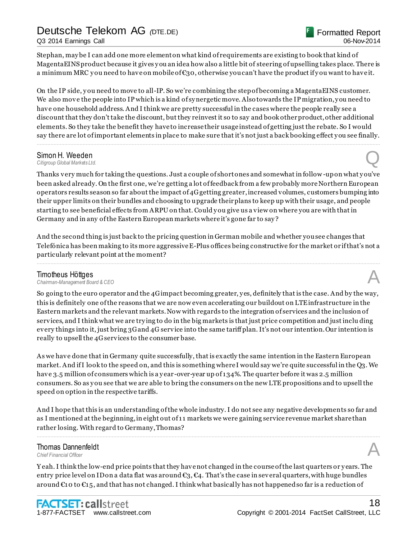Q3 2014 Earnings Call

Stephan, may be I can add one more element on what kind of requirements are existing to book that kind of MagentaEINS product because it gives y ou an idea how also a little bit of steering of upselling takes place. There is a minimum MRC you need to have on mobile of  $\epsilon_{30}$ , otherwise you can't have the product if you want to have it.

On the IP side, y ou need to move to all-IP. So we're combining the step of becoming a MagentaEINS customer. We also move the people into IP which is a kind of synergetic move. Also towards the IP migration, you need to have one household address. And I think we are pretty successful in the cases where the people really see a discount that they don't take the discount, but they reinvest it so to say and book other product, other additional elements. So they take the benefit they have to increase their usage instead of getting just the rebate. So I would say there are lot of important elements in place to make sure that it's not just a back booking effect y ou see finally.

................................................................................................................................................................................................................................

### Simon H. Weeden<br>Citigroup Global Markets Ltd. *Citigroup Global Markets Ltd.* Q

Thanks very much for taking the questions. Just a couple of short ones and somewhat in follow -up on what y ou've been asked already. On the first one, we're getting a lot of feedback from a few probably more Northern European operators results season so far about the impact of 4G getting greater, increased volumes, customers bumping into their upper limits on their bundles and choosing to upgrade their plans to keep up with their usage, and people starting to see beneficial effects from ARPU on that. Could y ou give us a view on where you are with that in Germany and in any of the Eastern European markets where it's gone far to say ?

And the second thing is just back to the pricing question in German mobile and whether you see changes that Telefónica has been making to its more aggressive E-Plus offices being constructive for the market or if that's not a particularly relevant point at the moment?

................................................................................................................................................................................................................................

#### Timotheus Höttges

*Chairman-Management Board & CEO* A

So going to the euro operator and the 4G impact becoming greater, y es, definitely that is the case. And by the way, this is definitely one of the reasons that we are now even accelerating our buildout on LTE infrastructure in the Eastern markets and the relevant markets. Now with regards to the integration of services and the inclusion of services, and I think what we are try ing to do in the big markets is that just price competition and just inclu ding every things into it, just bring 3G and 4G service into the same tariff plan. It's not our intention. Our intention is really to upsell the 4G services to the consumer base.

As we have done that in Germany quite successfully, that is exactly the same intention in the Eastern European market. And if I look to the speed on, and this is something where I would say we're quite successful in the Q3. We have 3.5 million of consumers which is a year-over-year up of 134%. The quarter before it was 2.5 million consumers. So as y ou see that we are able to bring the consumers on the new LTE propositions and to upsell the speed on option in the respective tariffs.

And I hope that this is an understanding of the whole industry. I do not see any negative developments so far and as I mentioned at the beginning, in eight out of 11 markets we were gaining service revenue market share than rather losing. With regard to Germany, Thomas? ................................................................................................................................................................................................................................

Thomas Dannenfeldt **Thomas Dannenfeldt**<br>
Chief Financial Officer<br> **A** 

Y eah. I think the low-end price points that they have not changed in the course of the last quarters or y ears. The entry price level on ID on a data flat was around  $\epsilon_3$ ,  $\epsilon_4$ . That's the case in several quarters, with huge bundles around  $\mathfrak{C}_1$  to  $\mathfrak{C}_5$ , and that has not changed. I think what basically has not happened so far is a reduction of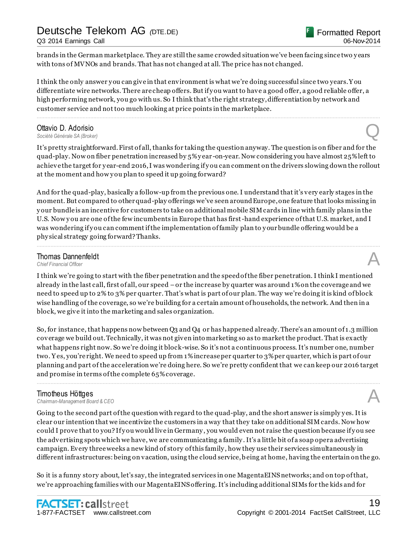brands in the German marketplace. They are still the same crowded situation we've been facing since two y ears with tons of MVNOs and brands. That has not changed at all. The price has not changed.

I think the only answer y ou can give in that environment is what we're doing successful since two years. Y ou differentiate wire networks. There are cheap offers. But if y ou want to have a good offer, a good reliable offer, a high performing network, you go with us. So I think that's the right strategy, differentiation by network and customer service and not too much looking at price points in the marketplace.

................................................................................................................................................................................................................................

### **Ottavio D. Adorisio**<br>Société Générale SA (Broker) **Ottavio D. Adorisio**<br>Société Générale SA (Broker)

It's pretty straightforward. First of all, thanks for taking the question anyway. The question is on fiber and for the quad-play. Now on fiber penetration increased by 5% y ear -on-year. Now considering you have almost 25% left to achieve the target for y ear-end 2016, I was wondering if y ou can comment on the drivers slowing down the rollout at the moment and how you plan to speed it up going forward?

And for the quad-play, basically a follow-up from the previous one. I understand that it's very early stages in the moment. But compared to other quad-play offerings we've seen around Europe, one feature that looks missing in y our bundle is an incentive for customers to take on additional mobile SIM cards in line with family plans in the U.S. Now you are one of the few incumbents in Europe that has first-hand experience of that U.S. market, and I was wondering if you can comment if the implementation of family plan to your bundle offering would be a phy sical strategy going forward? Thanks.

................................................................................................................................................................................................................................

### **Thomas Dannenfeldt**<br>Chief Financial Officer **Thomas Dannenfeldt**<br>
Chief Financial Officer<br> **A**

I think we're going to start with the fiber penetration and the speed of the fiber penetration. I think I mentioned already in the last call, first of all, our speed –or the increase by quarter was around 1% on the coverage and we need to speed up to 2% to 3% per quarter. That's what is part of our plan. The way we're doing it is kind of block wise handling of the coverage, so we're building for a certain amount of households, the network. And then in a block, we give it into the marketing and sales organization.

So, for instance, that happens now between Q3 and Q4 or has happened already. There's an amount of 1.3 million coverage we build out. Technically, it was not given into marketing so as to market the product. That is exactly what happens right now. So we're doing it block-wise. So it's not a continuous process. It's number one, number two. Y es, you're right. We need to speed up from 1% increase per quarter to 3% per quarter, which is part of our planning and part of the acceleration we're doing here. So we're pretty confident that we can keep our 2016 target and promise in terms of the complete 65% coverage.

................................................................................................................................................................................................................................

**Timotheus Höttges**<br>Chairman-Management Board & CEO *Chairman-Management Board & CEO* A

Going to the second part of the question with regard to the quad-play, and the short answer is simply yes. It is clear our intention that we incentivize the customers in a way that they take on additional SIM cards. Now how could I prove that to you? If you would live in Germany, you would even not raise the question because if you see the advertising spots which we have, we are communicating a family . It's a little bit of a soap opera advertising campaign. Every three weeks a new kind of story of this family , how they use their services simultaneously in different infrastructures: being on vacation, using the cloud service, b eing at home, having the entertain on the go.

So it is a funny story about, let's say, the integrated services in one MagentaEINS networks; and on top of that, we're approaching families with our MagentaEINS offering. It's including additional SIMs for the kids and for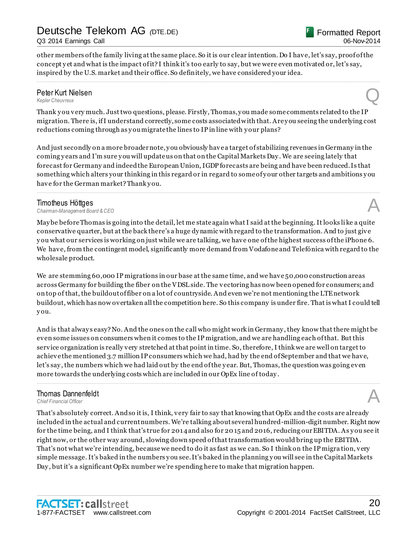Q3 2014 Earnings Call

Formatted Report 06-Nov-2014

other members of the family living at the same place. So it is our clear intention. Do I have, let's say, proof of the concept y et and what is the impact of it? I think it's too early to say, but we were even motivated or, let's say, inspired by the U.S. market and their office. So definitely, we have considered your idea.

................................................................................................................................................................................................................................

### Peter Kurt Nielsen<br>Kepler Cheuvreux *Kepler Cheuvreux* Q

Thank y ou very much. Just two questions, please. Firstly, Thomas, y ou made some comments related to the IP migration. There is, if I understand correctly, some costs associated with that. Are y ou seeing the underlying cost reductions coming through as y ou migrate the lines to IP in line with y our plans?

And just secondly on a more broader note, y ou obviously have a target of stabilizing revenues in Germany in the coming y ears and I'm sure y ou will update us on that on the Capital Markets Day . We are seeing lately that forecast for Germany and indeed the European Union, IGDP forecasts are being and have been reduced. Is that something which alters your thinking in this regard or in regard to some of y our other targets and ambitions y ou have for the German market? Thank you.

................................................................................................................................................................................................................................

**Timotheus Höttges**<br>Chairman-Management Board & CEO *Chairman-Management Board & CEO* A

May be before Thomas is going into the detail, let me state again what I said at the beginning. It looks li ke a quite conservative quarter, but at the back there's a huge dy namic with regard to the transformation. And to just give y ou what our services is working on just while we are talking, we have one of the highest success of the iPhone 6. We have, from the contingent model, significantly more demand from Vodafone and Telefónica with regard to the wholesale product.

We are stemming 60,000 IP migrations in our base at the same time, and we have 50,000 construction areas across Germany for building the fiber on the VDSL side. The vectoring has now been opened for consumers; and on top of that, the buildout of fiber on a lot of countryside. And even we're not mentioning the LTE network buildout, which has now overtaken all the competition here. So this company is under fire. That is what I could tell y ou.

And is that alway s easy? No. And the ones on the call who might work in Germany , they know that there might be even some issues on consumers when it comes to the IP migration, and we are handling each of that. But this service organization is really very stretched at that point in time. So, therefore, I think we are well on target to achieve the mentioned 3.7 million IP consumers which we had, had by the end of September and that we have, let's say , the numbers which we had laid out by the end of the y ear. But, Thomas, the question was going even more towards the underlying costs which are included in our OpEx line of today .

................................................................................................................................................................................................................................

### **Thomas Dannenfeldt**<br>Chief Financial Officer **Thomas Dannenfeldt**<br>
Chief Financial Officer<br> **A**

That's absolutely correct. And so it is, I think, very fair to say that knowing that OpEx and the costs are already included in the actual and current numbers. We're talking about several hundred-million-digit number. Right now for the time being, and I think that's true for 2014 and also for 20 15 and 2016, reducing our EBITDA. As y ou see it right now, or the other way around, slowing down speed of that transformation would bring up the EBITDA. That's not what we're intending, because we need to do it as fast as we can. So I think on the IP migra tion, very simple message. It's baked in the numbers y ou see. It's baked in the planning y ou will see in the Capital Markets Day , but it's a significant OpEx number we're spending here to make that migration happen.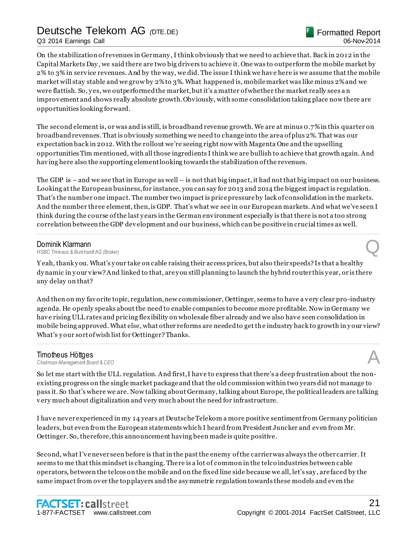Q3 2014 Earnings Call

On the stabilization of revenues in Germany , I think obviously that we need to achieve that. Back in 2012 in the Capital Markets Day , we said there are two big drivers to achieve it. One was to outperform the mobile market by 2% to 3% in service revenues. And by the way, we did. The issue I think we have here is we assume that the mobile market will stay stable and we grow by 2% to 3%. What happened is, mobile market was like minus 2% and we were flattish. So, y es, we outperformed the market, but it's a matter of whether the market really sees a n improvement and shows really absolute growth. Obviously, with some consolidation taking place now there are opportunities looking forward.

The second element is, or was and is still, is broadband revenue growth. We are at minus 0.7% in this quarter on broadband revenues. That is obviously something we need to change into the area of plus 2%. That was our expectation back in 2012. With the rollout we're seeing right now with Magenta One and the upselling opportunities Tim mentioned, with all those ingredients I think we are bullish to achieve that growth again. And having here also the supporting element looking towards the stabilization of the revenues.

The GDP is – and we see that in Europe as well – is not that big impact, it had not that big impact on our business. Looking at the European business, for instance, you can say for 2013 and 2014 the biggest impact is regulation. That's the number one impact. The number two impact is price pressure by lack of consolidation in the markets. And the number three element, then, is GDP. That's what we see in our European markets. And what we've seen I think during the course of the last y ears in the German environment especially is that there is not a too strong correlation between the GDP development and our business, which can be positive in crucial times as well.

................................................................................................................................................................................................................................

**Dominik Klarmann**<br>HSBC Trinkaus & Burkhardt AG (Broker) *HSBC Trinkaus & Burkhardt AG (Broker)* Q

Y eah, thank y ou. What's y our take on cable raising their access prices, but also their speeds? Is that a healthy dy namic in y our view? And linked to that, are y ou still planning to launch the hybrid router this y ear, or is there any delay on that?

And then on my favorite topic, regulation, new commissioner, Oettinger, seems to have a very clear pro-industry agenda. He openly speaks about the need to enable companies to become more profitable. Now in Germany we have rising ULL rates and pricing flexibility on wholesale fiber already and we also have seen consolidation in mobile being approved. What else, what other reforms are needed to get the industry back to growth in y our view? What's your sort of wish list for Oettinger? Thanks.

................................................................................................................................................................................................................................

**Timotheus Höttges**<br>Chairman-Management Board & CEO *Chairman-Management Board & CEO* A

So let me start with the ULL regulation. And first, I have to express that there's a deep frustration about the nonexisting progress on the single market package and that the old commission within two years did not manage to pass it. So that's where we are. Now talking about Germany, talking about Europe, the political leaders are talking very much about digitalization and very much about the need for infrastructure.

I have never experienced in my 14 years at Deutsche Telekom a more positive sentiment from Germany politician leaders, but even from the European statements which I heard from President Juncker and even from Mr. Oettinger. So, therefore, this announcement having been made is quite positive.

Second, what I've never seen before is that in the past the enemy of the carrier was always the other carrier. It seems to me that this mindset is changing. There is a lot of common in the telco industries between cable operators, between the telcos on the mobile and on the fixed line side because we all, let's say , are faced by the same impact from over the top players and the asy mmetric regulation towards these models and even the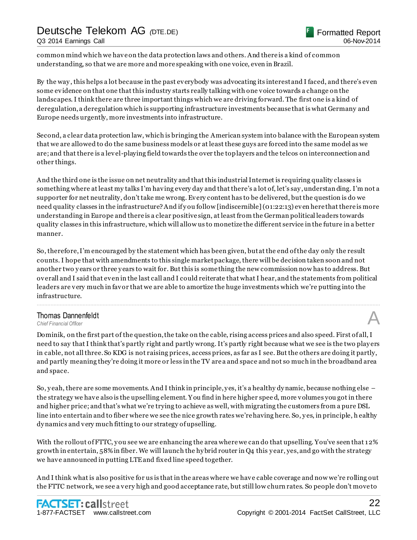Q3 2014 Earnings Call

common mind which we have on the data protection laws and others. And there is a kind of common understanding, so that we are more and more speaking with one voice, even in Brazil.

By the way , this helps a lot because in the past everybody was advocating its interest and I faced, and there's even some evidence on that one that this industry starts really talking with one voice towards a change on the landscapes. I think there are three important things which we are driving forward. The first one is a kind of deregulation, a deregulation which is supporting infrastructure investments because that is what Germany and Europe needs urgently, more investments into infrastructure.

Second, a clear data protection law, which is bringing the American system into balance with the European system that we are allowed to do the same business models or at least these guys are forced into the same model as we are; and that there is a level-playing field towards the over the top layers and the telcos on interconnection and other things.

And the third one is the issue on net neutrality and that this industrial Internet is requiring quality classes is something where at least my talks I'm having every day and that there's a lot of, let's say , understan ding. I'm not a supporter for net neutrality, don't take me wrong. Every content has to be delivered, but the question is do we need quality classes in the infrastructure? And if y ou follow [indiscernible] (01:22:13) even here that there is more understanding in Europe and there is a clear positive sign, at least from the German political leaders towards quality classes in this infrastructure, which will allow us to monetize the different service in the future in a better manner.

So, therefore, I'm encouraged by the statement which has been given, but at the end of the day only the result counts. I hope that with amendments to this single market package, there will be decision taken soon and not another two y ears or three y ears to wait for. But this is some thing the new commission now has to address. But overall and I said that even in the last call and I could reiterate that what I hear, and the statements from political leaders are very much in favor that we are able to amortize the huge investments which we're putting into the infrastructure.

................................................................................................................................................................................................................................

### Thomas Dannenfeldt **Thomas Dannenfeldt**<br>
Chief Financial Officer<br> **A**

Dominik, on the first part of the question, the take on the cable, rising access prices and also speed. First of all, I need to say that I think that's partly right and partly wrong. It's partly right because what we see is the two play ers in cable, not all three. So KDG is not raising prices, access prices, as far as I see. But the others are doing it partly, and partly meaning they're doing it more or less in the TV are a and space and not so much in the broadband area and space.

So, y eah, there are some movements. And I think in principle, y es, it's a healthy dy namic, because nothing else – the strategy we have also is the upselling element. Y ou find in here higher spee d, more volumes you got in there and higher price; and that's what we're trying to achieve as well, with migrating the customers from a pure DSL line into entertain and to fiber where we see the nice growth rates we're having here. So, y es, in principle, h ealthy dy namics and very much fitting to our strategy of upselling.

With the rollout of FTTC, you see we are enhancing the area where we can do that upselling. You've seen that 12% growth in entertain, 58% in fiber. We will launch the hy brid router in Q4 this y ear, yes, and go with the strategy we have announced in putting LTE and fixed line speed together.

And I think what is also positive for us is that in the areas where we have cable coverage and now we're rolling out the FTTC network, we see a very high and good acceptance rate, but still low churn rates. So people don't move to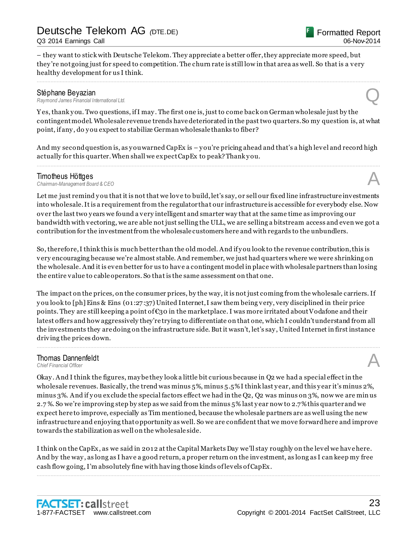Q3 2014 Earnings Call

– they want to stick with Deutsche Telekom. They appreciate a better offer, they appreciate more speed, but they 're not going just for speed to competition. The churn rate is still low in that area as well. So that is a very healthy development for us I think.

**Stéphane Beyazian**<br>Raymond James Financial International Ltd. *Raymond James Financial International Ltd.* Q

Y es, thank y ou. Two questions, if I may . The first one is, just to come back on German wholesale just by the contingent model. Wholesale revenue trends have deteriorated in the past two quarters. So my question is, at what point, if any , do y ou expect to stabilize German wholesale thanks to fiber?

................................................................................................................................................................................................................................

And my second question is, as y ou warned CapEx is – y ou're pricing ahead and that's a high level and record high actually for this quarter. When shall we expect CapEx to peak? Thank y ou. ................................................................................................................................................................................................................................

**Timotheus Höttges**<br>Chairman-Management Board & CEO *Chairman-Management Board & CEO* A

Let me just remind you that it is not that we love to build, let's say, or sell our fixed line infrastructure investments into wholesale. It is a requirement from the regulator that our infrastructure is accessible for everybody else. Now over the last two y ears we found a very intelligent and smarter way that at the same time as improving our bandwidth with vectoring, we are able not just selling the ULL, we are selling a bitstream access and even we got a contribution for the investment from the wholesale customers here and with regards to the unbundlers.

So, therefore, I think this is much better than the old model. And if y ou look to the revenue contribution, this is very encouraging because we're almost stable. And remember, we just had quarters where we were shrinking on the wholesale. And it is even better for us to have a contingent model in place with wholesale partners than losing the entire value to cable operators. So that is the same assessment on that one.

The impact on the prices, on the consumer prices, by the way, it is not just coming from the wholesale carriers. If y ou look to [ph] Eins & Eins (01:27:37) United Internet, I saw them being very, very disciplined in their price points. They are still keeping a point of €30 in the marketplace. I was more irritated about Vodafone and their latest offers and how aggressively they're trying to differentiate on that one, which I couldn't understand from all the investments they are doing on the infrastructure side. But it wasn't, let's say , United Internet in first instance driving the prices down. ................................................................................................................................................................................................................................

### **Thomas Dannenfeldt**<br>Chief Financial Officer **Thomas Dannenfeldt**<br>
Chief Financial Officer<br> **A**

Okay . And I think the figures, may be they look a little bit curious because in Q2 we had a special effect in the wholesale revenues. Basically, the trend was minus 5%, minus 5.5% I think last y ear, and this y ear it's minus 2%, minus 3%. And if y ou exclude the special factors effect we had in the Q2, Q2 was minus on 3%, now we are min us 2.7 %. So we're improving step by step as we said from the minus 5% last y ear now to 2.7% this quarter and we expect here to improve, especially as Tim mentioned, because the wholesale partners are as well using the new infrastructure and enjoying that opportunity as well. So we are confident that we move forward here and improve towards the stabilization as well on the wholesale side.

I think on the CapEx, as we said in 2012 at the Capital Markets Day we'll stay roughly on the level we have here. And by the way , as long as I have a good return, a proper return on the investment, as long as I can keep my free cash flow going, I'm absolutely fine with having those kinds of levels of CapEx.

................................................................................................................................................................................................................................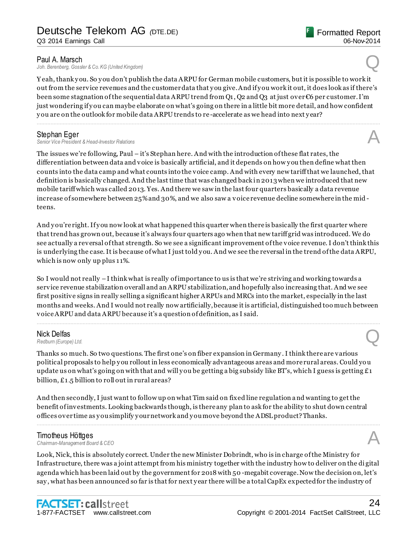Joh. Berenberg, Gossler & Co. KG (United Kingdom)

Y eah, thank y ou. So y ou don't publish the data ARPU for German mobile customers, but it is possible to work it out from the service revenues and the customer data that y ou give. And if y ou work it out, it does look as if there's been some stagnation of the sequential data ARPU trend from Q1, Q2 and Q3 at just over  $\epsilon$ 6 per customer. I'm just wondering if y ou can maybe elaborate on what's going on there in a little bit more detail, and how confident y ou are on the outlook for mobile data ARPU trends to re -accelerate as we head into next y ear?

................................................................................................................................................................................................................................

**Stephan Eger**<br>Senior Vice President & Head-Investor Relations *Senior Vice President & Head-Investor Relations* A

The issues we're following, Paul – it's Stephan here. And with the introduction of these flat rates, the differentiation between data and voice is basically artificial, and it depends on how y ou then define what then counts into the data camp and what counts into the voice camp. And with every new tariff that we launched, that definition is basically changed. And the last time that was changed back in 2013 when we introduced that new mobile tariff which was called 2013. Yes. And there we saw in the last four quarters basically a data revenue increase of somewhere between 25% and 30%, and we also saw a voice revenue decline somewhere in the mid teens.

And you're right. If you now look at what happened this quarter when there is basically the first quarter where that trend has grown out, because it's always four quarters ago when that new tariff grid was introduced. We do see actually a reversal of that strength. So we see a significant improvement of the voice revenue. I don't think this is underlying the case. It is because of what I just told y ou. And we see the reversal in the trend of the data ARPU, which is now only up plus 11%.

So I would not really –I think what is really of importance to us is that we're striving and working towards a service revenue stabilization overall and an ARPU stabilization, and hopefully also increasing that. And we see first positive signs in really selling a significant higher ARPUs and MRCs into the market, especially in the last months and weeks. And I would not really now artificially, because it is artificial, distinguished too much between voice ARPU and data ARPU because it's a question of definition, as I said.

................................................................................................................................................................................................................................

### Nick Delfas *Redburn (Europe) Ltd.*  $\bigotimes$

Thanks so much. So two questions. The first one's on fiber expansion in Germany . I think there are various political proposals to help y ou rollout in less economically advantageous areas and more rural areas. Could you update us on what's going on with that and will you be getting a big subsidy like BT's, which I guess is getting  $£1$ billion, £1.5 billion to roll out in rural areas?

And then secondly, I just want to follow up on what Tim said on fixed line regulation a nd wanting to get the benefit of investments. Looking backwards though, is there any plan to ask for the ability to shut down central offices over time as y ou simplify y our network and y ou move beyond the ADSL product? Thanks.

#### Timotheus Höttges

*Chairman-Management Board & CEO* A

Look, Nick, this is absolutely correct. Under the new Minister Dobrindt, who is in charge of the Ministry for Infrastructure, there was a joint attempt from his ministry together with the industry how to deliver on the di gital agenda which has been laid out by the government for 2018 with 50 -megabit coverage. Now the decision on, let's say , what has been announced so far is that for next y ear there will be a total CapEx expected for the industry of

................................................................................................................................................................................................................................

Formatted Report

06-Nov-2014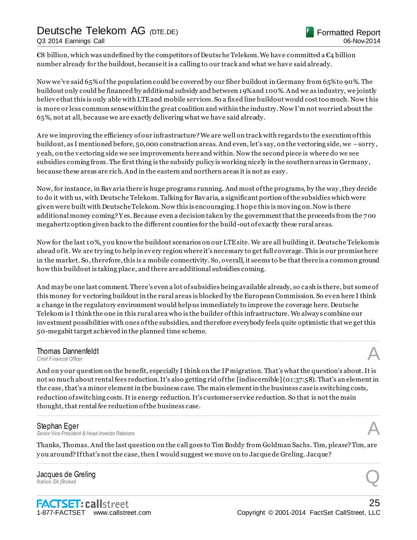Q3 2014 Earnings Call

€8 billion, which was undefined by the competitors of Deutsche Telekom. We have committed a  $\epsilon_4$  billion number already for the buildout, because it is a calling to our track and what we have said already.

Now we've said 65% of the population could be covered by our fiber buildout in Germany from 65% to 90%. The buildout only could be financed by additional subsidy and between 19% and 100%. And we as industry, we jointly believe that this is only able with LTE and mobile services. So a fixed line buildout would cost too much. Now t his is more or less common sense within the great coalition and within the industry. Now I'm not worried about the 65%, not at all, because we are exactly delivering what we have said already.

Are we improving the efficiency of our infrastructure? We are well on track with regards to the execution of this buildout, as I mentioned before, 50,000 construction areas. And even, let's say, on the vectoring side, we –sorry , y eah, on the vectoring side we see improvements here and within. Now the second piece is where do we see subsidies coming from. The first thing is the subsidy policy is working nicely in the southern areas in Germany , because these areas are rich. And in the eastern and northern areas it is not as easy .

Now, for instance, in Bavaria there is huge programs running. And most of the programs, by the way , they decide to do it with us, with Deutsche Telekom. Talking for Bavaria, a significant portion of the subsidies which were given were built with Deutsche Telekom. Now this is encouraging. I hope this is moving on. Now is there additional money coming? Y es. Because even a decision taken by the government that the proceeds from the 700 megahertz option given back to the different counties for the build-out of exactly these rural areas.

Now for the last 10%, y ou know the buildout scenarios on our LTE site. We are all building it. Deutsche Telekom is ahead of it. We are trying to help in every region where it's necessary to get full coverage. This is our promise here in the market. So, therefore, this is a mobile connectivity. So, overall, it seems to be that there is a common ground how this buildout is taking place, and there are additional subsidies coming.

And may be one last comment. There's even a lot of subsidies being available already, so ca sh is there, but some of this money for vectoring buildout in the rural areas is blocked by the European Commission. So even here I think a change in the regulatory environment would help us immediately to improve the coverage here. Deutsche Telekom is I think the one in this rural area who is the builder of this infrastructure. We alway s combine our investment possibilities with ones of the subsidies, and therefore everybody feels quite optimistic that we get this 50-megabit target achieved in the planned time scheme.

................................................................................................................................................................................................................................

### **Thomas Dannenfeldt**<br>Chief Financial Officer **Thomas Dannenfeldt**<br>
Chief Financial Officer<br> **A**

And on your question on the benefit, especially I think on the IP migration. That's what the question's about. It is not so much about rental fees reduction. It's also getting rid of the [indiscernible] (01:37:58). That's an element in the case, that's a minor element in the business case. The main element in the business case is switching costs, reduction of switching costs. It is energy reduction. It's customer service reduction. So that is not the main thought, that rental fee reduction of the business case.

................................................................................................................................................................................................................................

#### Stephan Eger

*Senior Vice President & Head-Investor Relations* A

Thanks, Thomas. And the last question on the call goes to Tim Boddy from Goldman Sachs. Tim, please? Tim, are y ou around? If that's not the case, then I would suggest we move on to Jacque de Greling. Jacque? ................................................................................................................................................................................................................................

Jacques de Greling *Natixis SA (Broker)* **Q Q** *Q <i>Q <i>Anatixis SA (Broker)* **Q Q** *Q Anatixis SA (Broker)* **Q** *Q*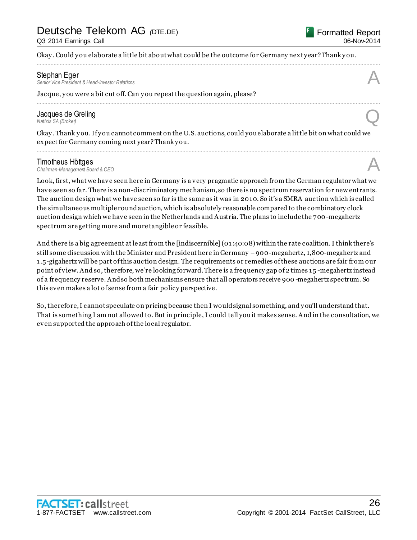Okay. Could you elaborate a little bit about what could be the outcome for Germany next year? Thank you.

................................................................................................................................................................................................................................

................................................................................................................................................................................................................................

**Stephan Eger**<br>Senior Vice President & Head-Investor Relations *Senior Vice President & Head-Investor Relations* A

Jacque, y ou were a bit cut off. Can y ou repeat the question again, please?

### Jacques de Greling<br>Natixis SA (Broker) *Natixis SA (Broker)* **Q Q** *Q <i>Q <i>Anatixis SA (Broker)* **Q Q** *Q Anatixis SA (Broker)* **Q** *Q*

Okay . Thank y ou. If y ou cannot comment on the U.S. auctions, could you elaborate a little bit on what could we expect for Germany coming next year? Thank y ou.

................................................................................................................................................................................................................................

**Timotheus Höttges**<br>Chairman-Management Board & CEO *Chairman-Management Board & CEO* A

Look, first, what we have seen here in Germany is a very pragmatic approach from the German regulator what we have seen so far. There is a non-discriminatory mechanism, so there is no spectrum reservation for new entrants. The auction design what we have seen so far is the same as it was in 2010. So it's a SMRA auction which is called the simultaneous multiple round auction, which is absolutely reasonable compared to the combinatory clock auction design which we have seen in the Netherlands and Austria. The plans to include the 700-megahertz spectrum are getting more and more tangible or feasible.

And there is a big agreement at least from the [indiscernible] (01:40:08) within the rate coalition. I think there's still some discussion with the Minister and President here in Germany –900-megahertz, 1,800-megahertz and 1.5-gigahertz will be part of this auction design. The requirements or remedies of these auctions are fair from our point of view. And so, therefore, we're looking forward. There is a frequency gap of 2 times 15 -megahertz instead of a frequency reserve. And so both mechanisms ensure that all operators receive 900 -megahertz spectrum. So this even makes a lot of sense from a fair policy perspective.

So, therefore, I cannot speculate on pricing because then I would signal something, and y ou'll understand that. That is something I am not allowed to. But in principle, I could tell you it makes sense. And in the consultation, we even supported the approach of the local regulator.